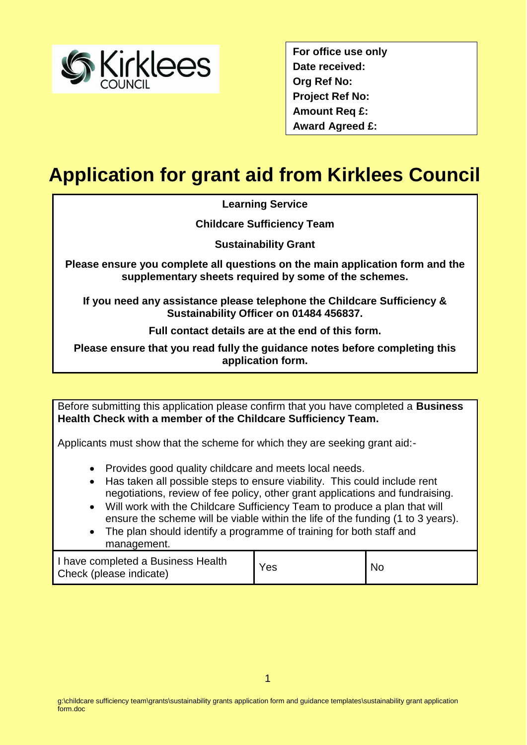

**For office use only Date received: Org Ref No: Project Ref No: Amount Req £: Award Agreed £:**

# **Application for grant aid from Kirklees Council**

**Learning Service**

**Childcare Sufficiency Team**

**Sustainability Grant**

**Please ensure you complete all questions on the main application form and the supplementary sheets required by some of the schemes.**

**If you need any assistance please telephone the Childcare Sufficiency & Sustainability Officer on 01484 456837.**

**Full contact details are at the end of this form.**

**Please ensure that you read fully the guidance notes before completing this application form.**

Before submitting this application please confirm that you have completed a **Business Health Check with a member of the Childcare Sufficiency Team.**

Applicants must show that the scheme for which they are seeking grant aid:-

- Provides good quality childcare and meets local needs.
- Has taken all possible steps to ensure viability. This could include rent negotiations, review of fee policy, other grant applications and fundraising.
- Will work with the Childcare Sufficiency Team to produce a plan that will ensure the scheme will be viable within the life of the funding (1 to 3 years).
- The plan should identify a programme of training for both staff and management.

| I have completed a Business Health<br>Check (please indicate) | Yes | <b>No</b> |
|---------------------------------------------------------------|-----|-----------|
|---------------------------------------------------------------|-----|-----------|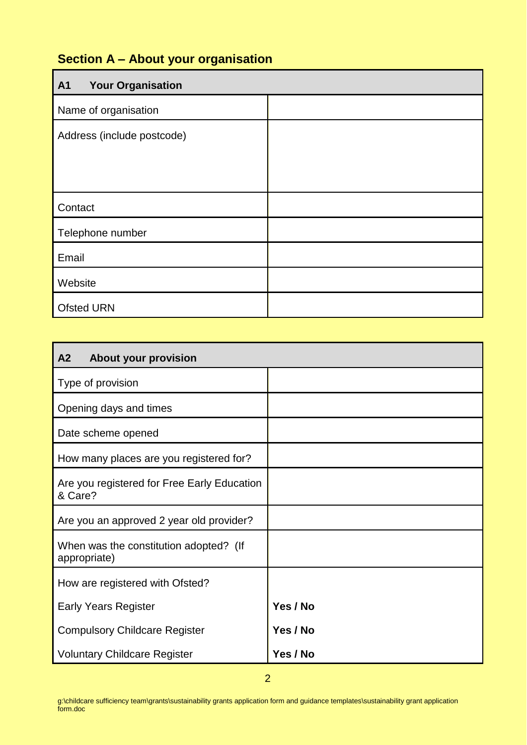## **Section A – About your organisation**

| <b>A1</b><br><b>Your Organisation</b> |  |
|---------------------------------------|--|
| Name of organisation                  |  |
| Address (include postcode)            |  |
|                                       |  |
|                                       |  |
| Contact                               |  |
| Telephone number                      |  |
| Email                                 |  |
| Website                               |  |
| <b>Ofsted URN</b>                     |  |

| A <sub>2</sub><br><b>About your provision</b>          |          |
|--------------------------------------------------------|----------|
| Type of provision                                      |          |
| Opening days and times                                 |          |
| Date scheme opened                                     |          |
| How many places are you registered for?                |          |
| Are you registered for Free Early Education<br>& Care? |          |
| Are you an approved 2 year old provider?               |          |
| When was the constitution adopted? (If<br>appropriate) |          |
| How are registered with Ofsted?                        |          |
| <b>Early Years Register</b>                            | Yes / No |
| <b>Compulsory Childcare Register</b>                   | Yes / No |
| <b>Voluntary Childcare Register</b>                    | Yes / No |

g:\childcare sufficiency team\grants\sustainability grants application form and guidance templates\sustainability grant application form.doc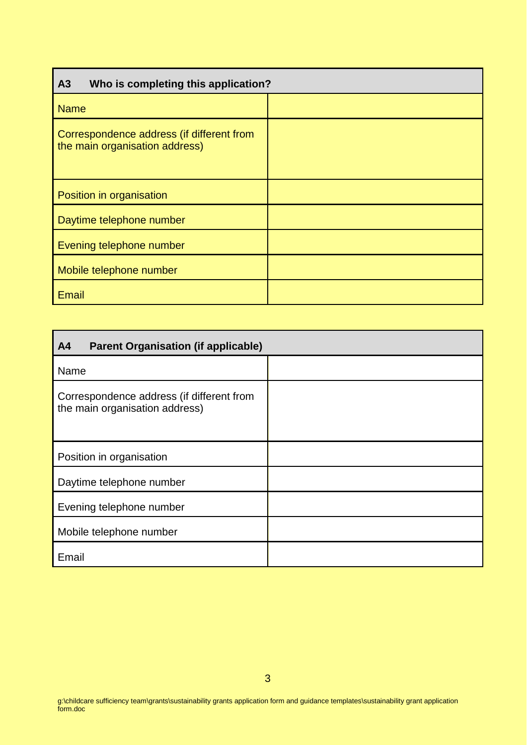| Who is completing this application?<br>A <sub>3</sub>                       |  |
|-----------------------------------------------------------------------------|--|
| <b>Name</b>                                                                 |  |
| Correspondence address (if different from<br>the main organisation address) |  |
| Position in organisation                                                    |  |
| Daytime telephone number                                                    |  |
| Evening telephone number                                                    |  |
| Mobile telephone number                                                     |  |
| <b>Email</b>                                                                |  |

| <b>Parent Organisation (if applicable)</b><br>A <sub>4</sub>                |  |
|-----------------------------------------------------------------------------|--|
| Name                                                                        |  |
| Correspondence address (if different from<br>the main organisation address) |  |
| Position in organisation                                                    |  |
| Daytime telephone number                                                    |  |
| Evening telephone number                                                    |  |
| Mobile telephone number                                                     |  |
| Email                                                                       |  |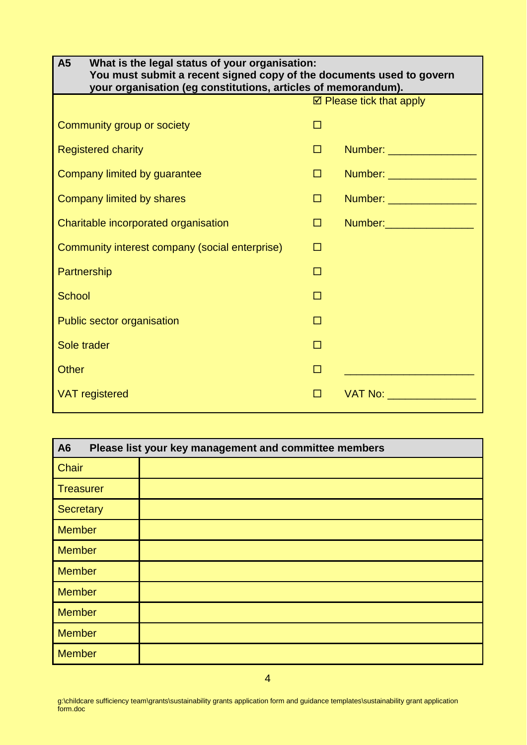| A5<br>What is the legal status of your organisation:<br>You must submit a recent signed copy of the documents used to govern<br>your organisation (eg constitutions, articles of memorandum). |   |                                    |
|-----------------------------------------------------------------------------------------------------------------------------------------------------------------------------------------------|---|------------------------------------|
|                                                                                                                                                                                               |   | $\boxtimes$ Please tick that apply |
| Community group or society                                                                                                                                                                    | п |                                    |
| <b>Registered charity</b>                                                                                                                                                                     | □ | Number: ___________________        |
| Company limited by guarantee                                                                                                                                                                  | □ | Number: __________________         |
| Company limited by shares                                                                                                                                                                     | □ | Number: ___________________        |
| Charitable incorporated organisation                                                                                                                                                          | □ |                                    |
| Community interest company (social enterprise)                                                                                                                                                | п |                                    |
| Partnership                                                                                                                                                                                   | П |                                    |
| <b>School</b>                                                                                                                                                                                 |   |                                    |
| Public sector organisation                                                                                                                                                                    |   |                                    |
| Sole trader                                                                                                                                                                                   | П |                                    |
| <b>Other</b>                                                                                                                                                                                  | П |                                    |
| <b>VAT</b> registered                                                                                                                                                                         | п | VAT No: ___________________        |

| A <sub>6</sub><br>Please list your key management and committee members |  |  |
|-------------------------------------------------------------------------|--|--|
| <b>Chair</b>                                                            |  |  |
| <b>Treasurer</b>                                                        |  |  |
| <b>Secretary</b>                                                        |  |  |
| <b>Member</b>                                                           |  |  |
| <b>Member</b>                                                           |  |  |
| <b>Member</b>                                                           |  |  |
| <b>Member</b>                                                           |  |  |
| <b>Member</b>                                                           |  |  |
| <b>Member</b>                                                           |  |  |
| <b>Member</b>                                                           |  |  |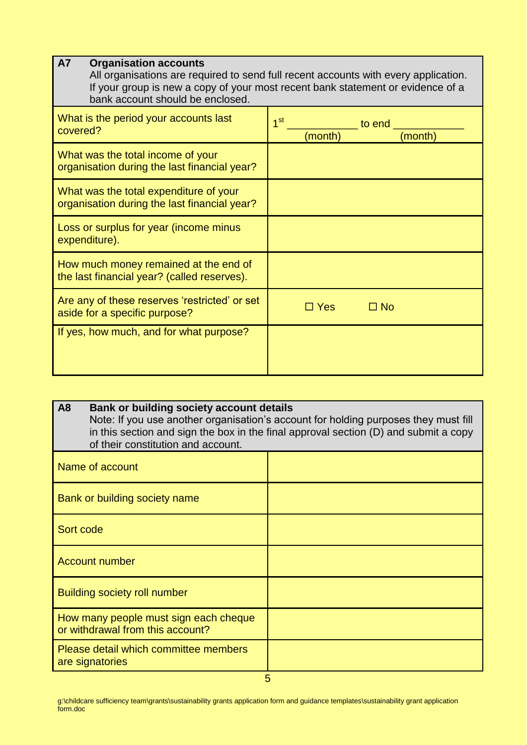| <b>A7</b><br><b>Organisation accounts</b><br>bank account should be enclosed.          | All organisations are required to send full recent accounts with every application.<br>If your group is new a copy of your most recent bank statement or evidence of a |
|----------------------------------------------------------------------------------------|------------------------------------------------------------------------------------------------------------------------------------------------------------------------|
| What is the period your accounts last<br>covered?                                      | 1 <sup>st</sup><br>to end<br>(month)<br>(month)                                                                                                                        |
| What was the total income of your<br>organisation during the last financial year?      |                                                                                                                                                                        |
| What was the total expenditure of your<br>organisation during the last financial year? |                                                                                                                                                                        |
| Loss or surplus for year (income minus<br>expenditure).                                |                                                                                                                                                                        |
| How much money remained at the end of<br>the last financial year? (called reserves).   |                                                                                                                                                                        |
| Are any of these reserves 'restricted' or set<br>aside for a specific purpose?         | $\Box$ Yes<br>$\square$ No                                                                                                                                             |
| If yes, how much, and for what purpose?                                                |                                                                                                                                                                        |

| A <sub>8</sub><br><b>Bank or building society account details</b><br>Note: If you use another organisation's account for holding purposes they must fill<br>in this section and sign the box in the final approval section (D) and submit a copy<br>of their constitution and account. |  |
|----------------------------------------------------------------------------------------------------------------------------------------------------------------------------------------------------------------------------------------------------------------------------------------|--|
| Name of account                                                                                                                                                                                                                                                                        |  |
| Bank or building society name                                                                                                                                                                                                                                                          |  |
| Sort code                                                                                                                                                                                                                                                                              |  |
| <b>Account number</b>                                                                                                                                                                                                                                                                  |  |
| <b>Building society roll number</b>                                                                                                                                                                                                                                                    |  |
| How many people must sign each cheque<br>or withdrawal from this account?                                                                                                                                                                                                              |  |
| Please detail which committee members<br>are signatories                                                                                                                                                                                                                               |  |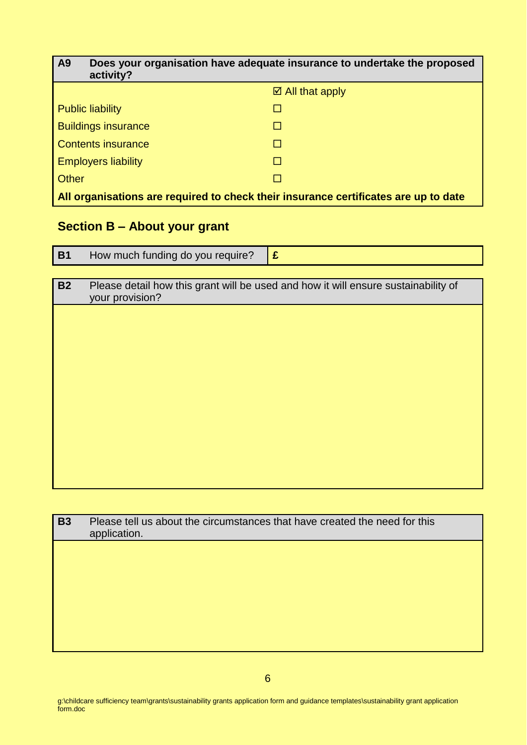| <b>A9</b><br>activity?                                                              | Does your organisation have adequate insurance to undertake the proposed |  |
|-------------------------------------------------------------------------------------|--------------------------------------------------------------------------|--|
|                                                                                     | $\boxtimes$ All that apply                                               |  |
| <b>Public liability</b>                                                             |                                                                          |  |
| <b>Buildings insurance</b>                                                          |                                                                          |  |
| <b>Contents insurance</b>                                                           |                                                                          |  |
| <b>Employers liability</b>                                                          |                                                                          |  |
| Other                                                                               |                                                                          |  |
| All organisations are required to check their insurance certificates are up to date |                                                                          |  |

### **Section B – About your grant**

| <b>B1</b> | How much funding do you require? |  |
|-----------|----------------------------------|--|
|           |                                  |  |

| <b>B2</b> | Please detail how this grant will be used and how it will ensure sustainability of<br>your provision? |
|-----------|-------------------------------------------------------------------------------------------------------|
|           |                                                                                                       |
|           |                                                                                                       |
|           |                                                                                                       |
|           |                                                                                                       |
|           |                                                                                                       |
|           |                                                                                                       |
|           |                                                                                                       |
|           |                                                                                                       |

| <b>B3</b> | Please tell us about the circumstances that have created the need for this<br>application. |  |  |
|-----------|--------------------------------------------------------------------------------------------|--|--|
|           |                                                                                            |  |  |
|           |                                                                                            |  |  |
|           |                                                                                            |  |  |
|           |                                                                                            |  |  |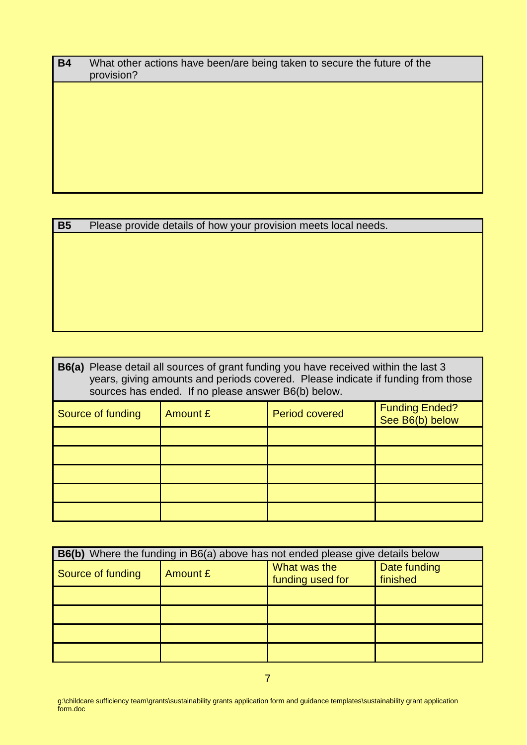| <b>B4</b> | What other actions have been/are being taken to secure the future of the<br>provision? |  |  |
|-----------|----------------------------------------------------------------------------------------|--|--|
|           |                                                                                        |  |  |
|           |                                                                                        |  |  |
|           |                                                                                        |  |  |
|           |                                                                                        |  |  |
|           |                                                                                        |  |  |

| <b>B5</b> | Please provide details of how your provision meets local needs. |  |  |
|-----------|-----------------------------------------------------------------|--|--|
|-----------|-----------------------------------------------------------------|--|--|

| <b>B6(a)</b> Please detail all sources of grant funding you have received within the last 3<br>years, giving amounts and periods covered. Please indicate if funding from those<br>sources has ended. If no please answer B6(b) below. |  |                       |                                          |
|----------------------------------------------------------------------------------------------------------------------------------------------------------------------------------------------------------------------------------------|--|-----------------------|------------------------------------------|
| Amount £<br>Source of funding                                                                                                                                                                                                          |  | <b>Period covered</b> | <b>Funding Ended?</b><br>See B6(b) below |
|                                                                                                                                                                                                                                        |  |                       |                                          |
|                                                                                                                                                                                                                                        |  |                       |                                          |
|                                                                                                                                                                                                                                        |  |                       |                                          |
|                                                                                                                                                                                                                                        |  |                       |                                          |
|                                                                                                                                                                                                                                        |  |                       |                                          |

| B6(b) Where the funding in B6(a) above has not ended please give details below |          |                                  |                          |
|--------------------------------------------------------------------------------|----------|----------------------------------|--------------------------|
| Source of funding                                                              | Amount £ | What was the<br>funding used for | Date funding<br>finished |
|                                                                                |          |                                  |                          |
|                                                                                |          |                                  |                          |
|                                                                                |          |                                  |                          |
|                                                                                |          |                                  |                          |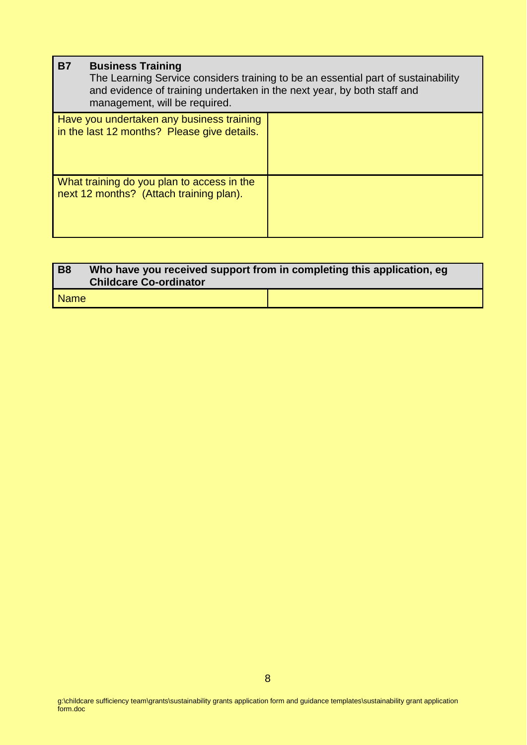#### **B7 Business Training**

The Learning Service considers training to be an essential part of sustainability and evidence of training undertaken in the next year, by both staff and management, will be required.

| Have you undertaken any business training<br>in the last 12 months? Please give details. |  |
|------------------------------------------------------------------------------------------|--|
| What training do you plan to access in the<br>next 12 months? (Attach training plan).    |  |

| <b>B8</b>   | Who have you received support from in completing this application, eg<br><b>Childcare Co-ordinator</b> |  |  |
|-------------|--------------------------------------------------------------------------------------------------------|--|--|
| <b>Name</b> |                                                                                                        |  |  |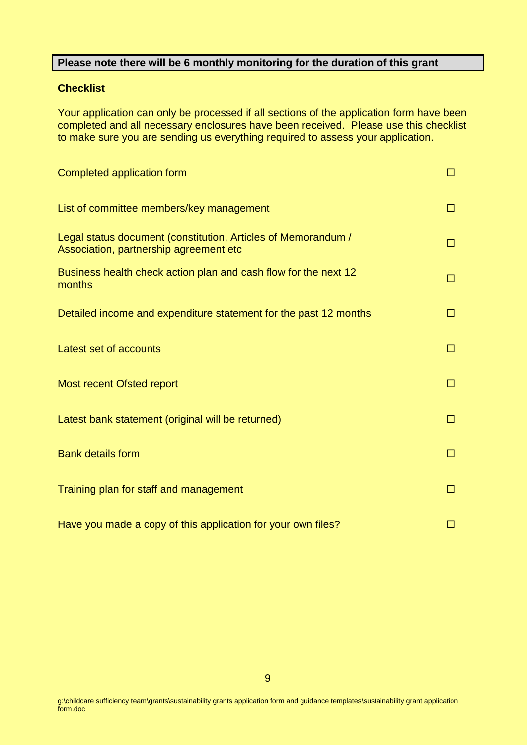#### **Please note there will be 6 monthly monitoring for the duration of this grant**

#### **Checklist**

Your application can only be processed if all sections of the application form have been completed and all necessary enclosures have been received. Please use this checklist to make sure you are sending us everything required to assess your application.

| Completed application form                                                                              | п  |
|---------------------------------------------------------------------------------------------------------|----|
| List of committee members/key management                                                                | ΙI |
| Legal status document (constitution, Articles of Memorandum /<br>Association, partnership agreement etc | п  |
| Business health check action plan and cash flow for the next 12<br>months                               | п  |
| Detailed income and expenditure statement for the past 12 months                                        | п  |
| Latest set of accounts                                                                                  | п  |
| <b>Most recent Ofsted report</b>                                                                        | п  |
| Latest bank statement (original will be returned)                                                       | п  |
| <b>Bank details form</b>                                                                                | п  |
| Training plan for staff and management                                                                  | п  |
| Have you made a copy of this application for your own files?                                            |    |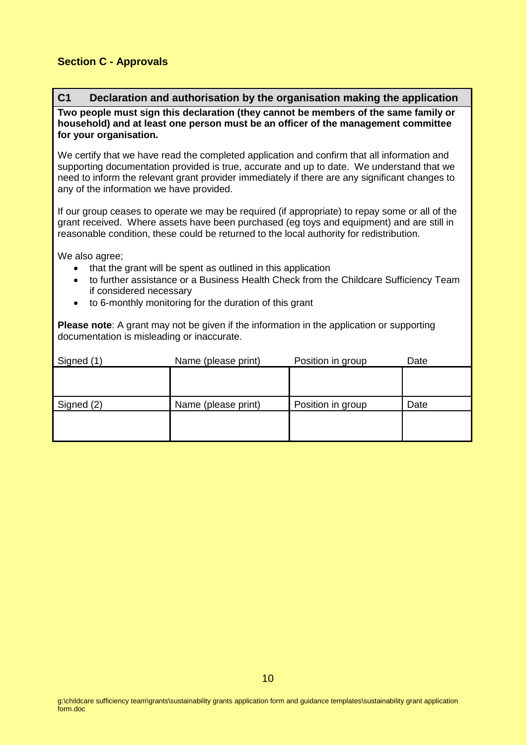#### **Section C - Approvals**

#### **C1 Declaration and authorisation by the organisation making the application**

**Two people must sign this declaration (they cannot be members of the same family or household) and at least one person must be an officer of the management committee for your organisation.** 

We certify that we have read the completed application and confirm that all information and supporting documentation provided is true, accurate and up to date. We understand that we need to inform the relevant grant provider immediately if there are any significant changes to any of the information we have provided.

If our group ceases to operate we may be required (if appropriate) to repay some or all of the grant received. Where assets have been purchased (eg toys and equipment) and are still in reasonable condition, these could be returned to the local authority for redistribution.

We also agree;

- that the grant will be spent as outlined in this application
- to further assistance or a Business Health Check from the Childcare Sufficiency Team if considered necessary
- to 6-monthly monitoring for the duration of this grant

**Please note**: A grant may not be given if the information in the application or supporting documentation is misleading or inaccurate.

| Signed (1) | Name (please print) | Position in group | Date |
|------------|---------------------|-------------------|------|
|            |                     |                   |      |
|            |                     |                   |      |
| Signed (2) | Name (please print) | Position in group | Date |
|            |                     |                   |      |
|            |                     |                   |      |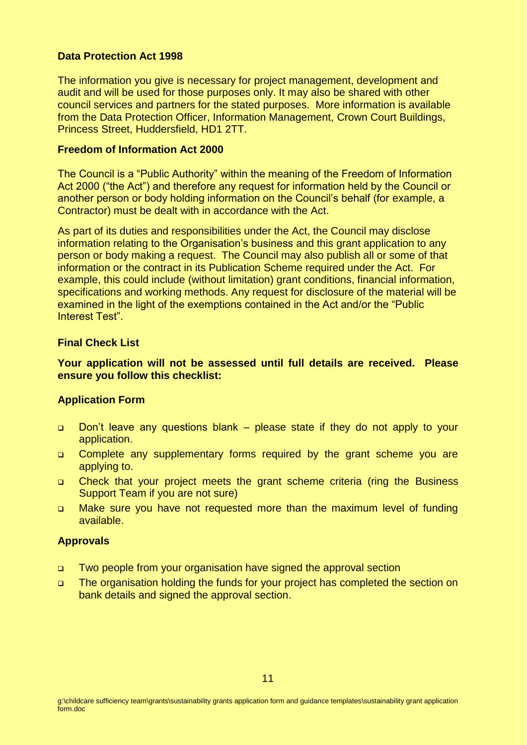#### **Data Protection Act 1998**

The information you give is necessary for project management, development and audit and will be used for those purposes only. It may also be shared with other council services and partners for the stated purposes. More information is available from the Data Protection Officer, Information Management, Crown Court Buildings, Princess Street, Huddersfield, HD1 2TT.

#### **Freedom of Information Act 2000**

The Council is a "Public Authority" within the meaning of the Freedom of Information Act 2000 ("the Act") and therefore any request for information held by the Council or another person or body holding information on the Council's behalf (for example, a Contractor) must be dealt with in accordance with the Act.

As part of its duties and responsibilities under the Act, the Council may disclose information relating to the Organisation's business and this grant application to any person or body making a request. The Council may also publish all or some of that information or the contract in its Publication Scheme required under the Act. For example, this could include (without limitation) grant conditions, financial information, specifications and working methods. Any request for disclosure of the material will be examined in the light of the exemptions contained in the Act and/or the "Public Interest Test".

#### **Final Check List**

**Your application will not be assessed until full details are received. Please ensure you follow this checklist:**

#### **Application Form**

- □ Don't leave any questions blank please state if they do not apply to your application.
- Complete any supplementary forms required by the grant scheme you are applying to.
- Check that your project meets the grant scheme criteria (ring the Business Support Team if you are not sure)
- Make sure you have not requested more than the maximum level of funding available.

#### **Approvals**

- Two people from your organisation have signed the approval section
- The organisation holding the funds for your project has completed the section on bank details and signed the approval section.